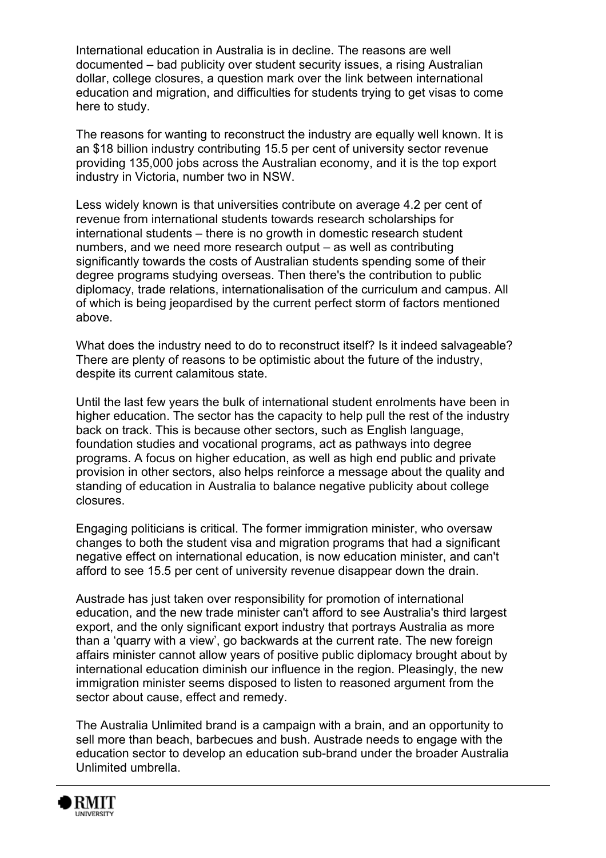International education in Australia is in decline. The reasons are well documented – bad publicity over student security issues, a rising Australian dollar, college closures, a question mark over the link between international education and migration, and difficulties for students trying to get visas to come here to study.

The reasons for wanting to reconstruct the industry are equally well known. It is an \$18 billion industry contributing 15.5 per cent of university sector revenue providing 135,000 jobs across the Australian economy, and it is the top export industry in Victoria, number two in NSW.

Less widely known is that universities contribute on average 4.2 per cent of revenue from international students towards research scholarships for international students – there is no growth in domestic research student numbers, and we need more research output – as well as contributing significantly towards the costs of Australian students spending some of their degree programs studying overseas. Then there's the contribution to public diplomacy, trade relations, internationalisation of the curriculum and campus. All of which is being jeopardised by the current perfect storm of factors mentioned above.

What does the industry need to do to reconstruct itself? Is it indeed salvageable? There are plenty of reasons to be optimistic about the future of the industry, despite its current calamitous state.

Until the last few years the bulk of international student enrolments have been in higher education. The sector has the capacity to help pull the rest of the industry back on track. This is because other sectors, such as English language, foundation studies and vocational programs, act as pathways into degree programs. A focus on higher education, as well as high end public and private provision in other sectors, also helps reinforce a message about the quality and standing of education in Australia to balance negative publicity about college closures.

Engaging politicians is critical. The former immigration minister, who oversaw changes to both the student visa and migration programs that had a significant negative effect on international education, is now education minister, and can't afford to see 15.5 per cent of university revenue disappear down the drain.

Austrade has just taken over responsibility for promotion of international education, and the new trade minister can't afford to see Australia's third largest export, and the only significant export industry that portrays Australia as more than a 'quarry with a view', go backwards at the current rate. The new foreign affairs minister cannot allow years of positive public diplomacy brought about by international education diminish our influence in the region. Pleasingly, the new immigration minister seems disposed to listen to reasoned argument from the sector about cause, effect and remedy.

The Australia Unlimited brand is a campaign with a brain, and an opportunity to sell more than beach, barbecues and bush. Austrade needs to engage with the education sector to develop an education sub-brand under the broader Australia Unlimited umbrella.